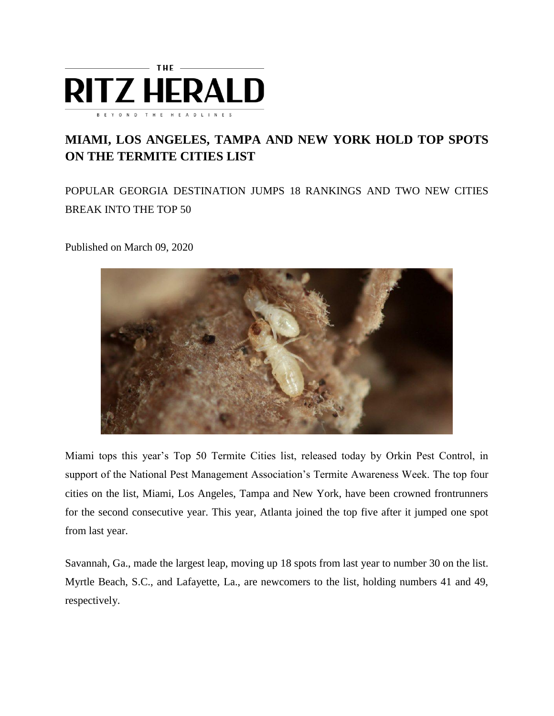

## **MIAMI, LOS ANGELES, TAMPA AND NEW YORK HOLD TOP SPOTS ON THE TERMITE CITIES LIST**

POPULAR GEORGIA DESTINATION JUMPS 18 RANKINGS AND TWO NEW CITIES BREAK INTO THE TOP 50

Published on March 09, 2020



Miami tops this year's Top 50 Termite Cities list, released today by Orkin Pest Control, in support of the National Pest Management Association's Termite Awareness Week. The top four cities on the list, Miami, Los Angeles, Tampa and New York, have been crowned frontrunners for the second consecutive year. This year, Atlanta joined the top five after it jumped one spot from last year.

Savannah, Ga., made the largest leap, moving up 18 spots from last year to number 30 on the list. Myrtle Beach, S.C., and Lafayette, La., are newcomers to the list, holding numbers 41 and 49, respectively.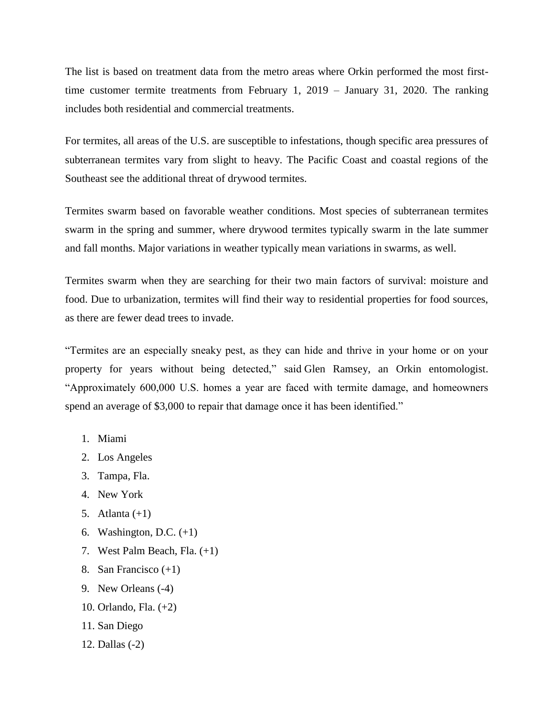The list is based on treatment data from the metro areas where Orkin performed the most firsttime customer termite treatments from February 1, 2019 – January 31, 2020. The ranking includes both residential and commercial treatments.

For termites, all areas of the U.S. are susceptible to infestations, though specific area pressures of subterranean termites vary from slight to heavy. The Pacific Coast and coastal regions of the Southeast see the additional threat of drywood termites.

Termites swarm based on favorable weather conditions. Most species of subterranean termites swarm in the spring and summer, where drywood termites typically swarm in the late summer and fall months. Major variations in weather typically mean variations in swarms, as well.

Termites swarm when they are searching for their two main factors of survival: moisture and food. Due to urbanization, termites will find their way to residential properties for food sources, as there are fewer dead trees to invade.

"Termites are an especially sneaky pest, as they can hide and thrive in your home or on your property for years without being detected," said Glen Ramsey, an Orkin entomologist. "Approximately 600,000 U.S. homes a year are faced with termite damage, and homeowners spend an average of \$3,000 to repair that damage once it has been identified."

- 1. Miami
- 2. Los Angeles
- 3. Tampa, Fla.
- 4. New York
- 5. Atlanta  $(+1)$
- 6. Washington, D.C.  $(+1)$
- 7. West Palm Beach, Fla. (+1)
- 8. San Francisco (+1)
- 9. New Orleans (-4)
- 10. Orlando, Fla. (+2)
- 11. San Diego
- 12. Dallas (-2)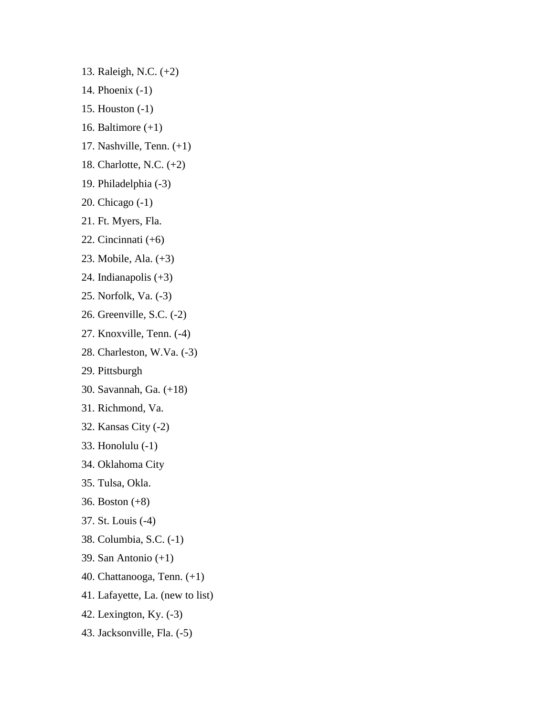13. Raleigh, N.C. (+2)

- 14. Phoenix (-1)
- 15. Houston (-1)
- 16. Baltimore (+1)
- 17. Nashville, Tenn. (+1)
- 18. Charlotte, N.C. (+2)
- 19. Philadelphia (-3)
- 20. Chicago (-1)
- 21. Ft. Myers, Fla.
- 22. Cincinnati (+6)
- 23. Mobile, Ala. (+3)
- 24. Indianapolis (+3)
- 25. Norfolk, Va. (-3)
- 26. Greenville, S.C. (-2)
- 27. Knoxville, Tenn. (-4)
- 28. Charleston, W.Va. (-3)
- 29. Pittsburgh
- 30. Savannah, Ga. (+18)
- 31. Richmond, Va.
- 32. Kansas City (-2)
- 33. Honolulu (-1)
- 34. Oklahoma City
- 35. Tulsa, Okla.
- 36. Boston (+8)
- 37. St. Louis (-4)
- 38. Columbia, S.C. (-1)
- 39. San Antonio (+1)
- 40. Chattanooga, Tenn. (+1)
- 41. Lafayette, La. (new to list)
- 42. Lexington, Ky. (-3)
- 43. Jacksonville, Fla. (-5)